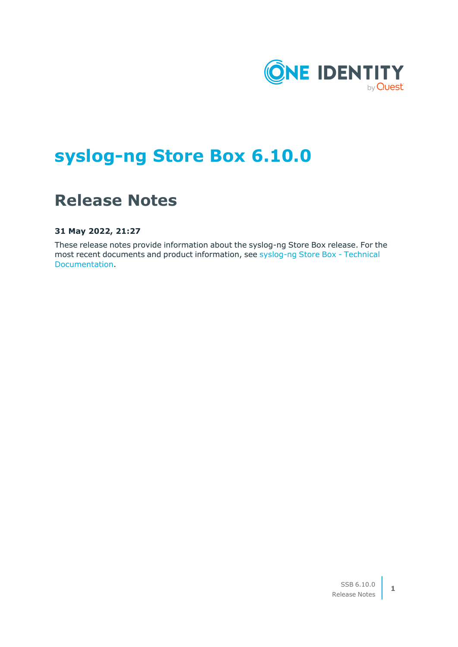

# **syslog-ng Store Box 6.10.0**

# **Release Notes**

**31 May 2022, 21:27**

These release notes provide information about the syslog-ng Store Box release. For the most recent documents and product information, see [syslog-ng](https://support.oneidentity.com/syslog-ng-store-box/technical-documents) Store Box - Technical [Documentation.](https://support.oneidentity.com/syslog-ng-store-box/technical-documents)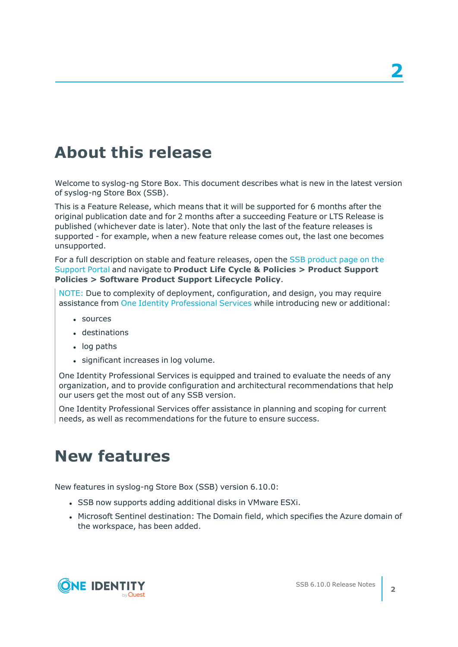# **About this release**

Welcome to syslog-ng Store Box. This document describes what is new in the latest version of syslog-ng Store Box (SSB).

This is a Feature Release, which means that it will be supported for 6 months after the original publication date and for 2 months after a succeeding Feature or LTS Release is published (whichever date is later). Note that only the last of the feature releases is supported - for example, when a new feature release comes out, the last one becomes unsupported.

For a full description on stable and feature releases, open the SSB [product](https://support.oneidentity.com/syslog-ng-store-box) page on the [Support](https://support.oneidentity.com/syslog-ng-store-box) Portal and navigate to **Product Life Cycle & Policies > Product Support Policies > Software Product Support Lifecycle Policy**.

NOTE: Due to complexity of deployment, configuration, and design, you may require assistance from One Identity [Professional](https://support.oneidentity.com/professional-services-product-select/) Services while introducing new or additional:

- sources
- $\cdot$  destinations
- $\cdot$  log paths
- significant increases in log volume.

One Identity Professional Services is equipped and trained to evaluate the needs of any organization, and to provide configuration and architectural recommendations that help our users get the most out of any SSB version.

One Identity Professional Services offer assistance in planning and scoping for current needs, as well as recommendations for the future to ensure success.

## **New features**

New features in syslog-ng Store Box (SSB) version 6.10.0:

- SSB now supports adding additional disks in VMware ESXi.
- Microsoft Sentinel destination: The Domain field, which specifies the Azure domain of the workspace, has been added.

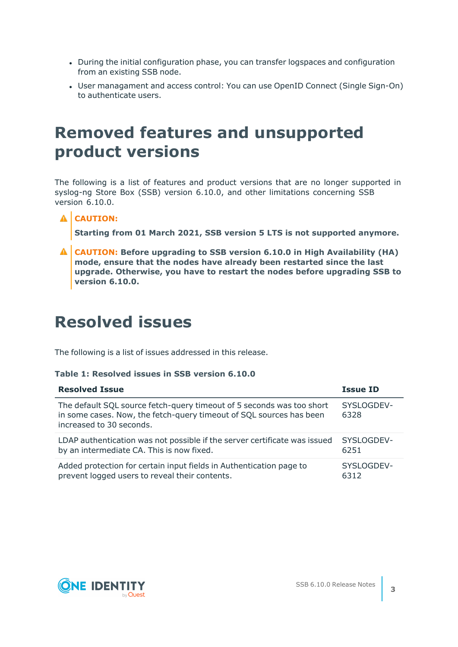- During the initial configuration phase, you can transfer logspaces and configuration from an existing SSB node.
- User managament and access control: You can use OpenID Connect (Single Sign-On) to authenticate users.

## **Removed features and unsupported product versions**

The following is a list of features and product versions that are no longer supported in syslog-ng Store Box (SSB) version 6.10.0, and other limitations concerning SSB version 6.10.0.

## **A** CAUTION:

**Starting from 01 March 2021, SSB version 5 LTS is not supported anymore.**

**CAUTION: Before upgrading to SSB version 6.10.0 in High Availability (HA) mode, ensure that the nodes have already been restarted since the last upgrade. Otherwise, you have to restart the nodes before upgrading SSB to version 6.10.0.**

## **Resolved issues**

The following is a list of issues addressed in this release.

#### **Table 1: Resolved issues in SSB version 6.10.0**

| <b>Resolved Issue</b>                                                                                                                                                    | <b>Issue ID</b>    |
|--------------------------------------------------------------------------------------------------------------------------------------------------------------------------|--------------------|
| The default SQL source fetch-query timeout of 5 seconds was too short<br>in some cases. Now, the fetch-query timeout of SQL sources has been<br>increased to 30 seconds. | SYSLOGDEV-<br>6328 |
| LDAP authentication was not possible if the server certificate was issued                                                                                                | SYSLOGDEV-         |
| by an intermediate CA. This is now fixed.                                                                                                                                | 6251               |
| Added protection for certain input fields in Authentication page to                                                                                                      | SYSLOGDEV-         |
| prevent logged users to reveal their contents.                                                                                                                           | 6312               |

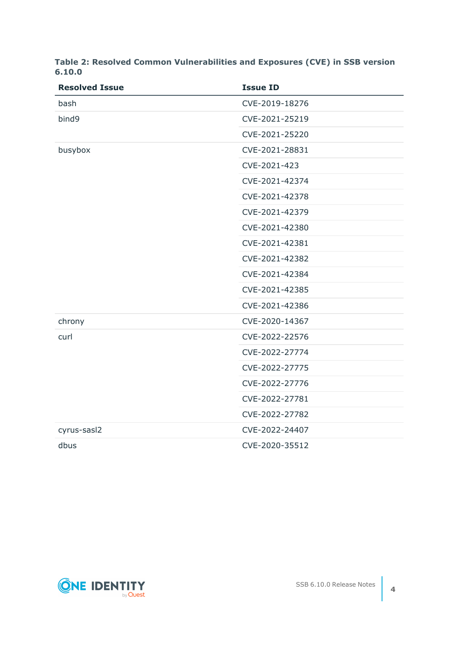| <b>Resolved Issue</b> | <b>Issue ID</b> |
|-----------------------|-----------------|
| bash                  | CVE-2019-18276  |
| bind9                 | CVE-2021-25219  |
|                       | CVE-2021-25220  |
| busybox               | CVE-2021-28831  |
|                       | CVE-2021-423    |
|                       | CVE-2021-42374  |
|                       | CVE-2021-42378  |
|                       | CVE-2021-42379  |
|                       | CVE-2021-42380  |
|                       | CVE-2021-42381  |
|                       | CVE-2021-42382  |
|                       | CVE-2021-42384  |
|                       | CVE-2021-42385  |
|                       | CVE-2021-42386  |
| chrony                | CVE-2020-14367  |
| curl                  | CVE-2022-22576  |
|                       | CVE-2022-27774  |
|                       | CVE-2022-27775  |
|                       | CVE-2022-27776  |
|                       | CVE-2022-27781  |
|                       | CVE-2022-27782  |
| cyrus-sasl2           | CVE-2022-24407  |
| dbus                  | CVE-2020-35512  |

**Table 2: Resolved Common Vulnerabilities and Exposures (CVE) in SSB version 6.10.0**

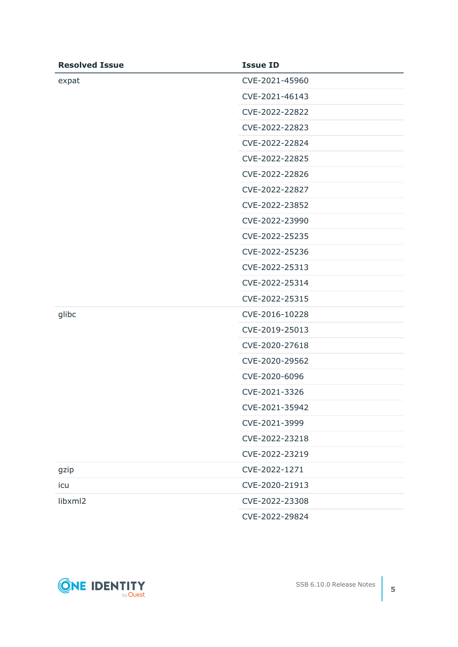| <b>Resolved Issue</b> | <b>Issue ID</b> |
|-----------------------|-----------------|
| expat                 | CVE-2021-45960  |
|                       | CVE-2021-46143  |
|                       | CVE-2022-22822  |
|                       | CVE-2022-22823  |
|                       | CVE-2022-22824  |
|                       | CVE-2022-22825  |
|                       | CVE-2022-22826  |
|                       | CVE-2022-22827  |
|                       | CVE-2022-23852  |
|                       | CVE-2022-23990  |
|                       | CVE-2022-25235  |
|                       | CVE-2022-25236  |
|                       | CVE-2022-25313  |
|                       | CVE-2022-25314  |
|                       | CVE-2022-25315  |
| glibc                 | CVE-2016-10228  |
|                       | CVE-2019-25013  |
|                       | CVE-2020-27618  |
|                       | CVE-2020-29562  |
|                       | CVE-2020-6096   |
|                       | CVE-2021-3326   |
|                       | CVE-2021-35942  |
|                       | CVE-2021-3999   |
|                       | CVE-2022-23218  |
|                       | CVE-2022-23219  |
| gzip                  | CVE-2022-1271   |
| icu                   | CVE-2020-21913  |
| libxml2               | CVE-2022-23308  |
|                       | CVE-2022-29824  |

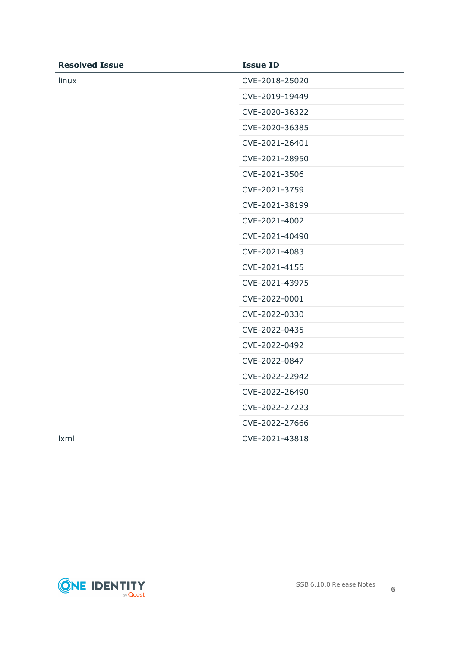| <b>Resolved Issue</b> | <b>Issue ID</b> |
|-----------------------|-----------------|
| linux                 | CVE-2018-25020  |
|                       | CVE-2019-19449  |
|                       | CVE-2020-36322  |
|                       | CVE-2020-36385  |
|                       | CVE-2021-26401  |
|                       | CVE-2021-28950  |
|                       | CVE-2021-3506   |
|                       | CVE-2021-3759   |
|                       | CVE-2021-38199  |
|                       | CVE-2021-4002   |
|                       | CVE-2021-40490  |
|                       | CVE-2021-4083   |
|                       | CVE-2021-4155   |
|                       | CVE-2021-43975  |
|                       | CVE-2022-0001   |
|                       | CVE-2022-0330   |
|                       | CVE-2022-0435   |
|                       | CVE-2022-0492   |
|                       | CVE-2022-0847   |
|                       | CVE-2022-22942  |
|                       | CVE-2022-26490  |
|                       | CVE-2022-27223  |
|                       | CVE-2022-27666  |
| <b>Ixml</b>           | CVE-2021-43818  |

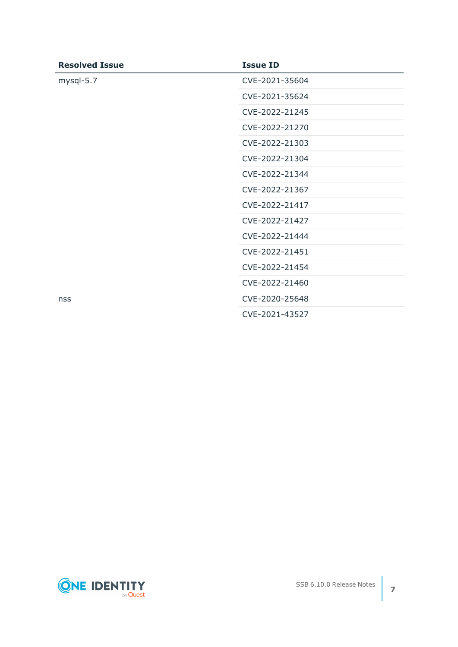| <b>Resolved Issue</b> | <b>Issue ID</b> |
|-----------------------|-----------------|
| mysql-5.7             | CVE-2021-35604  |
|                       | CVE-2021-35624  |
|                       | CVE-2022-21245  |
|                       | CVE-2022-21270  |
|                       | CVE-2022-21303  |
|                       | CVE-2022-21304  |
|                       | CVE-2022-21344  |
|                       | CVE-2022-21367  |
|                       | CVE-2022-21417  |
|                       | CVE-2022-21427  |
|                       | CVE-2022-21444  |
|                       | CVE-2022-21451  |
|                       | CVE-2022-21454  |
|                       | CVE-2022-21460  |
| nss                   | CVE-2020-25648  |
|                       | CVE-2021-43527  |

**ONE IDENTITY**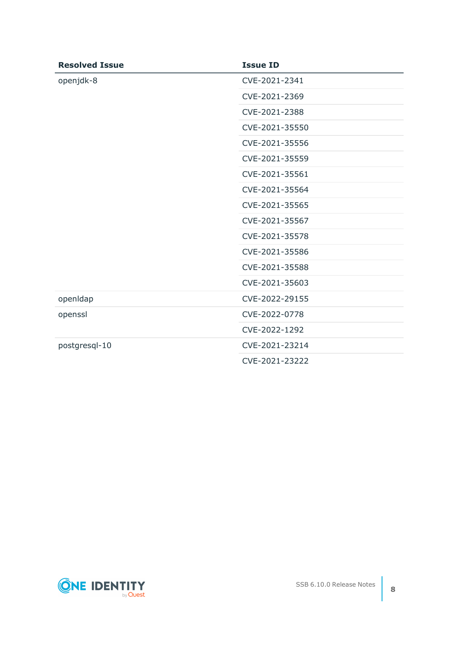| <b>Resolved Issue</b> | <b>Issue ID</b> |
|-----------------------|-----------------|
| openjdk-8             | CVE-2021-2341   |
|                       | CVE-2021-2369   |
|                       | CVE-2021-2388   |
|                       | CVE-2021-35550  |
|                       | CVE-2021-35556  |
|                       | CVE-2021-35559  |
|                       | CVE-2021-35561  |
|                       | CVE-2021-35564  |
|                       | CVE-2021-35565  |
|                       | CVE-2021-35567  |
|                       | CVE-2021-35578  |
|                       | CVE-2021-35586  |
|                       | CVE-2021-35588  |
|                       | CVE-2021-35603  |
| openIdap              | CVE-2022-29155  |
| openssl               | CVE-2022-0778   |
|                       | CVE-2022-1292   |
| postgresql-10         | CVE-2021-23214  |
|                       | CVE-2021-23222  |

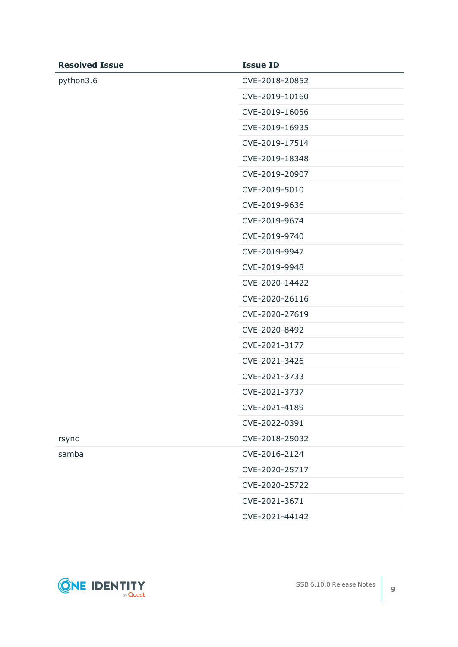| <b>Resolved Issue</b> | <b>Issue ID</b> |
|-----------------------|-----------------|
| python3.6             | CVE-2018-20852  |
|                       | CVE-2019-10160  |
|                       | CVE-2019-16056  |
|                       | CVE-2019-16935  |
|                       | CVE-2019-17514  |
|                       | CVE-2019-18348  |
|                       | CVE-2019-20907  |
|                       | CVE-2019-5010   |
|                       | CVE-2019-9636   |
|                       | CVE-2019-9674   |
|                       | CVE-2019-9740   |
|                       | CVE-2019-9947   |
|                       | CVE-2019-9948   |
|                       | CVE-2020-14422  |
|                       | CVE-2020-26116  |
|                       | CVE-2020-27619  |
|                       | CVE-2020-8492   |
|                       | CVE-2021-3177   |
|                       | CVE-2021-3426   |
|                       | CVE-2021-3733   |
|                       | CVE-2021-3737   |
|                       | CVE-2021-4189   |
|                       | CVE-2022-0391   |
| rsync                 | CVE-2018-25032  |
| samba                 | CVE-2016-2124   |
|                       | CVE-2020-25717  |
|                       | CVE-2020-25722  |
|                       | CVE-2021-3671   |
|                       | CVE-2021-44142  |

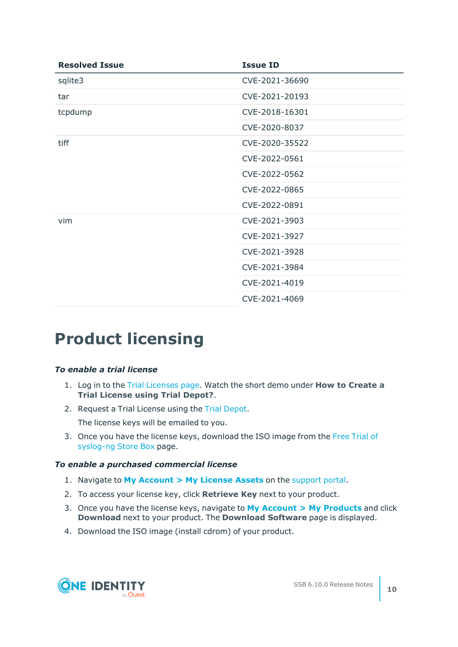| <b>Resolved Issue</b> | <b>Issue ID</b> |
|-----------------------|-----------------|
| sqlite3               | CVE-2021-36690  |
| tar                   | CVE-2021-20193  |
| tcpdump               | CVE-2018-16301  |
|                       | CVE-2020-8037   |
| tiff                  | CVE-2020-35522  |
|                       | CVE-2022-0561   |
|                       | CVE-2022-0562   |
|                       | CVE-2022-0865   |
|                       | CVE-2022-0891   |
| vim                   | CVE-2021-3903   |
|                       | CVE-2021-3927   |
|                       | CVE-2021-3928   |
|                       | CVE-2021-3984   |
|                       | CVE-2021-4019   |
|                       | CVE-2021-4069   |

## **Product licensing**

#### *To enable a trial license*

- 1. Log in to the Trial [Licenses](https://prodcloudoutlook.sharepoint.com/Licensing/Pages/TrialLicenses.aspx) page. Watch the short demo under **How to Create a Trial License using Trial Depot?**.
- 2. Request a Trial License using the Trial [Depot.](https://trialdepot.webapps.quest.com/trialdepot/index.jsp)

The license keys will be emailed to you.

3. Once you have the license keys, download the ISO image from the Free [Trial](https://www.syslog-ng.com/register/115581/) of [syslog-ng](https://www.syslog-ng.com/register/115581/) Store Box page.

#### *To enable a purchased commercial license*

- 1. Navigate to **My [Account](https://support.oneidentity.com/my-account/licensing) > My License Assets** on the [support](https://support.oneidentity.com/en-US/Login) portal.
- 2. To access your license key, click **Retrieve Key** next to your product.
- 3. Once you have the license keys, navigate to **My Account > My [Products](https://support.oneidentity.com/my-account)** and click **Download** next to your product. The **Download Software** page is displayed.
- 4. Download the ISO image (install cdrom) of your product.

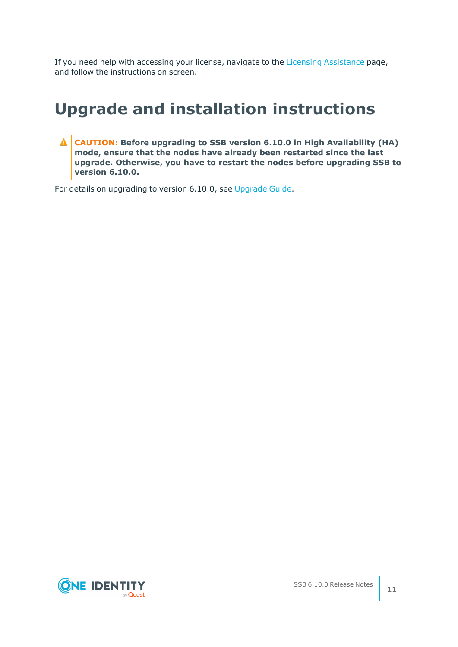If you need help with accessing your license, navigate to the Licensing [Assistance](https://support.oneidentity.com/contact-us/licensing) page, and follow the instructions on screen.

# **Upgrade and installation instructions**

**CAUTION: Before upgrading to SSB version 6.10.0 in High Availability (HA) mode, ensure that the nodes have already been restarted since the last upgrade. Otherwise, you have to restart the nodes before upgrading SSB to version 6.10.0.**

For details on upgrading to version 6.10.0, see [Upgrade](https://support.oneidentity.com/technical-documents/syslog-ng-store-box/6.10.0/upgrade-guide/) Guide.

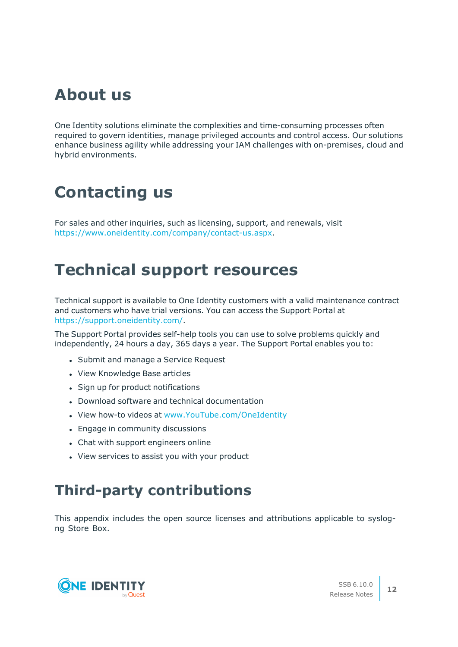## **About us**

One Identity solutions eliminate the complexities and time-consuming processes often required to govern identities, manage privileged accounts and control access. Our solutions enhance business agility while addressing your IAM challenges with on-premises, cloud and hybrid environments.

# **Contacting us**

For sales and other inquiries, such as licensing, support, and renewals, visit [https://www.oneidentity.com/company/contact-us.aspx.](https://www.oneidentity.com/company/contact-us.aspx)

# **Technical support resources**

Technical support is available to One Identity customers with a valid maintenance contract and customers who have trial versions. You can access the Support Portal at [https://support.oneidentity.com/.](https://support.oneidentity.com/)

The Support Portal provides self-help tools you can use to solve problems quickly and independently, 24 hours a day, 365 days a year. The Support Portal enables you to:

- Submit and manage a Service Request
- View Knowledge Base articles
- Sign up for product notifications
- Download software and technical documentation
- View how-to videos at [www.YouTube.com/OneIdentity](http://www.youtube.com/OneIdentity)
- Engage in community discussions
- Chat with support engineers online
- View services to assist you with your product

## **Third-party contributions**

This appendix includes the open source licenses and attributions applicable to syslogng Store Box.

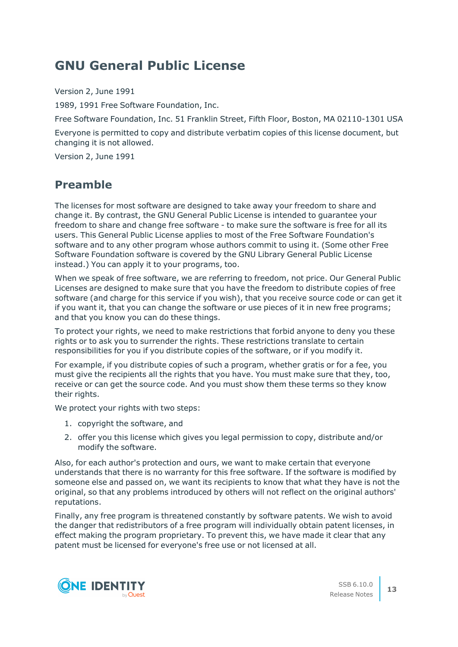## **GNU General Public License**

Version 2, June 1991

1989, 1991 Free Software Foundation, Inc.

Free Software Foundation, Inc. 51 Franklin Street, Fifth Floor, Boston, MA 02110-1301 USA

Everyone is permitted to copy and distribute verbatim copies of this license document, but changing it is not allowed.

Version 2, June 1991

## **Preamble**

The licenses for most software are designed to take away your freedom to share and change it. By contrast, the GNU General Public License is intended to guarantee your freedom to share and change free software - to make sure the software is free for all its users. This General Public License applies to most of the Free Software Foundation's software and to any other program whose authors commit to using it. (Some other Free Software Foundation software is covered by the GNU Library General Public License instead.) You can apply it to your programs, too.

When we speak of free software, we are referring to freedom, not price. Our General Public Licenses are designed to make sure that you have the freedom to distribute copies of free software (and charge for this service if you wish), that you receive source code or can get it if you want it, that you can change the software or use pieces of it in new free programs; and that you know you can do these things.

To protect your rights, we need to make restrictions that forbid anyone to deny you these rights or to ask you to surrender the rights. These restrictions translate to certain responsibilities for you if you distribute copies of the software, or if you modify it.

For example, if you distribute copies of such a program, whether gratis or for a fee, you must give the recipients all the rights that you have. You must make sure that they, too, receive or can get the source code. And you must show them these terms so they know their rights.

We protect your rights with two steps:

- 1. copyright the software, and
- 2. offer you this license which gives you legal permission to copy, distribute and/or modify the software.

Also, for each author's protection and ours, we want to make certain that everyone understands that there is no warranty for this free software. If the software is modified by someone else and passed on, we want its recipients to know that what they have is not the original, so that any problems introduced by others will not reflect on the original authors' reputations.

Finally, any free program is threatened constantly by software patents. We wish to avoid the danger that redistributors of a free program will individually obtain patent licenses, in effect making the program proprietary. To prevent this, we have made it clear that any patent must be licensed for everyone's free use or not licensed at all.

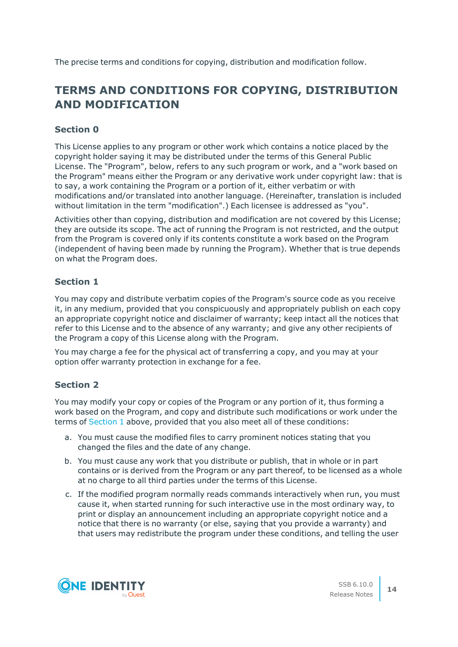The precise terms and conditions for copying, distribution and modification follow.

## **TERMS AND CONDITIONS FOR COPYING, DISTRIBUTION AND MODIFICATION**

## **Section 0**

This License applies to any program or other work which contains a notice placed by the copyright holder saying it may be distributed under the terms of this General Public License. The "Program", below, refers to any such program or work, and a "work based on the Program" means either the Program or any derivative work under copyright law: that is to say, a work containing the Program or a portion of it, either verbatim or with modifications and/or translated into another language. (Hereinafter, translation is included without limitation in the term "modification".) Each licensee is addressed as "you".

Activities other than copying, distribution and modification are not covered by this License; they are outside its scope. The act of running the Program is not restricted, and the output from the Program is covered only if its contents constitute a work based on the Program (independent of having been made by running the Program). Whether that is true depends on what the Program does.

## <span id="page-13-0"></span>**Section 1**

You may copy and distribute verbatim copies of the Program's source code as you receive it, in any medium, provided that you conspicuously and appropriately publish on each copy an appropriate copyright notice and disclaimer of warranty; keep intact all the notices that refer to this License and to the absence of any warranty; and give any other recipients of the Program a copy of this License along with the Program.

You may charge a fee for the physical act of transferring a copy, and you may at your option offer warranty protection in exchange for a fee.

## <span id="page-13-1"></span>**Section 2**

You may modify your copy or copies of the Program or any portion of it, thus forming a work based on the Program, and copy and distribute such modifications or work under the terms of [Section](#page-13-0) 1 above, provided that you also meet all of these conditions:

- a. You must cause the modified files to carry prominent notices stating that you changed the files and the date of any change.
- b. You must cause any work that you distribute or publish, that in whole or in part contains or is derived from the Program or any part thereof, to be licensed as a whole at no charge to all third parties under the terms of this License.
- c. If the modified program normally reads commands interactively when run, you must cause it, when started running for such interactive use in the most ordinary way, to print or display an announcement including an appropriate copyright notice and a notice that there is no warranty (or else, saying that you provide a warranty) and that users may redistribute the program under these conditions, and telling the user

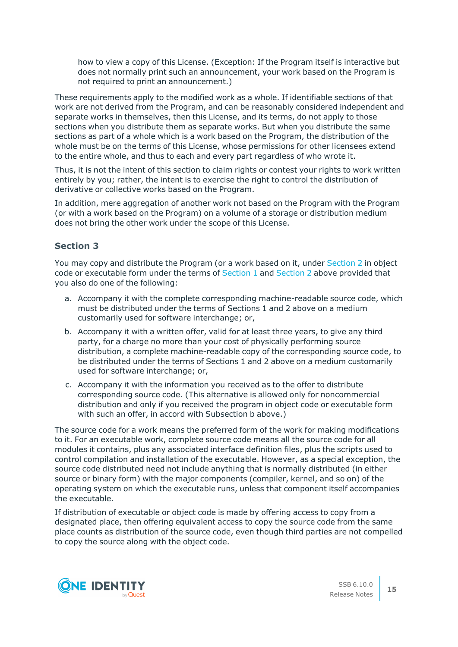how to view a copy of this License. (Exception: If the Program itself is interactive but does not normally print such an announcement, your work based on the Program is not required to print an announcement.)

These requirements apply to the modified work as a whole. If identifiable sections of that work are not derived from the Program, and can be reasonably considered independent and separate works in themselves, then this License, and its terms, do not apply to those sections when you distribute them as separate works. But when you distribute the same sections as part of a whole which is a work based on the Program, the distribution of the whole must be on the terms of this License, whose permissions for other licensees extend to the entire whole, and thus to each and every part regardless of who wrote it.

Thus, it is not the intent of this section to claim rights or contest your rights to work written entirely by you; rather, the intent is to exercise the right to control the distribution of derivative or collective works based on the Program.

In addition, mere aggregation of another work not based on the Program with the Program (or with a work based on the Program) on a volume of a storage or distribution medium does not bring the other work under the scope of this License.

#### **Section 3**

You may copy and distribute the Program (or a work based on it, under [Section](#page-13-1) 2 in object code or executable form under the terms of [Section](#page-13-1) 1 and Section 2 above provided that you also do one of the following:

- a. Accompany it with the complete corresponding machine-readable source code, which must be distributed under the terms of Sections 1 and 2 above on a medium customarily used for software interchange; or,
- b. Accompany it with a written offer, valid for at least three years, to give any third party, for a charge no more than your cost of physically performing source distribution, a complete machine-readable copy of the corresponding source code, to be distributed under the terms of Sections 1 and 2 above on a medium customarily used for software interchange; or,
- c. Accompany it with the information you received as to the offer to distribute corresponding source code. (This alternative is allowed only for noncommercial distribution and only if you received the program in object code or executable form with such an offer, in accord with Subsection b above.)

The source code for a work means the preferred form of the work for making modifications to it. For an executable work, complete source code means all the source code for all modules it contains, plus any associated interface definition files, plus the scripts used to control compilation and installation of the executable. However, as a special exception, the source code distributed need not include anything that is normally distributed (in either source or binary form) with the major components (compiler, kernel, and so on) of the operating system on which the executable runs, unless that component itself accompanies the executable.

If distribution of executable or object code is made by offering access to copy from a designated place, then offering equivalent access to copy the source code from the same place counts as distribution of the source code, even though third parties are not compelled to copy the source along with the object code.

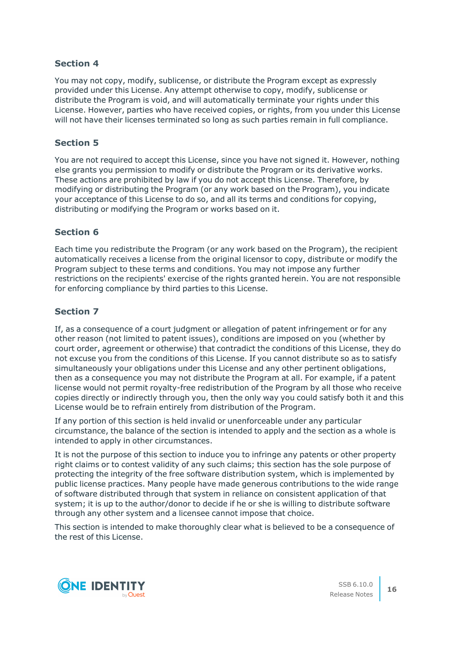You may not copy, modify, sublicense, or distribute the Program except as expressly provided under this License. Any attempt otherwise to copy, modify, sublicense or distribute the Program is void, and will automatically terminate your rights under this License. However, parties who have received copies, or rights, from you under this License will not have their licenses terminated so long as such parties remain in full compliance.

### **Section 5**

You are not required to accept this License, since you have not signed it. However, nothing else grants you permission to modify or distribute the Program or its derivative works. These actions are prohibited by law if you do not accept this License. Therefore, by modifying or distributing the Program (or any work based on the Program), you indicate your acceptance of this License to do so, and all its terms and conditions for copying, distributing or modifying the Program or works based on it.

### **Section 6**

Each time you redistribute the Program (or any work based on the Program), the recipient automatically receives a license from the original licensor to copy, distribute or modify the Program subject to these terms and conditions. You may not impose any further restrictions on the recipients' exercise of the rights granted herein. You are not responsible for enforcing compliance by third parties to this License.

### **Section 7**

If, as a consequence of a court judgment or allegation of patent infringement or for any other reason (not limited to patent issues), conditions are imposed on you (whether by court order, agreement or otherwise) that contradict the conditions of this License, they do not excuse you from the conditions of this License. If you cannot distribute so as to satisfy simultaneously your obligations under this License and any other pertinent obligations, then as a consequence you may not distribute the Program at all. For example, if a patent license would not permit royalty-free redistribution of the Program by all those who receive copies directly or indirectly through you, then the only way you could satisfy both it and this License would be to refrain entirely from distribution of the Program.

If any portion of this section is held invalid or unenforceable under any particular circumstance, the balance of the section is intended to apply and the section as a whole is intended to apply in other circumstances.

It is not the purpose of this section to induce you to infringe any patents or other property right claims or to contest validity of any such claims; this section has the sole purpose of protecting the integrity of the free software distribution system, which is implemented by public license practices. Many people have made generous contributions to the wide range of software distributed through that system in reliance on consistent application of that system; it is up to the author/donor to decide if he or she is willing to distribute software through any other system and a licensee cannot impose that choice.

This section is intended to make thoroughly clear what is believed to be a consequence of the rest of this License.

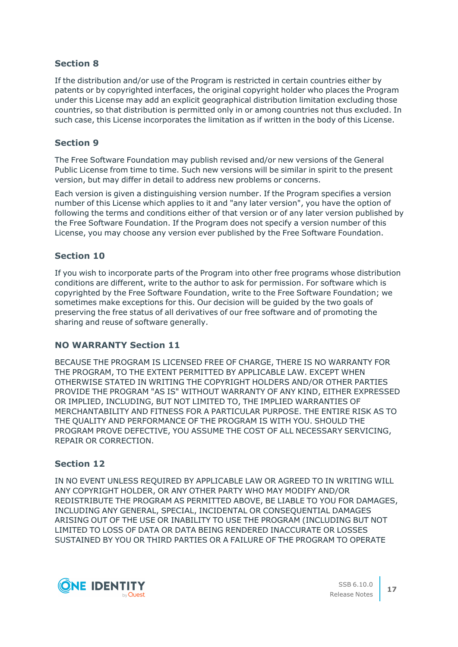If the distribution and/or use of the Program is restricted in certain countries either by patents or by copyrighted interfaces, the original copyright holder who places the Program under this License may add an explicit geographical distribution limitation excluding those countries, so that distribution is permitted only in or among countries not thus excluded. In such case, this License incorporates the limitation as if written in the body of this License.

## **Section 9**

The Free Software Foundation may publish revised and/or new versions of the General Public License from time to time. Such new versions will be similar in spirit to the present version, but may differ in detail to address new problems or concerns.

Each version is given a distinguishing version number. If the Program specifies a version number of this License which applies to it and "any later version", you have the option of following the terms and conditions either of that version or of any later version published by the Free Software Foundation. If the Program does not specify a version number of this License, you may choose any version ever published by the Free Software Foundation.

## **Section 10**

If you wish to incorporate parts of the Program into other free programs whose distribution conditions are different, write to the author to ask for permission. For software which is copyrighted by the Free Software Foundation, write to the Free Software Foundation; we sometimes make exceptions for this. Our decision will be guided by the two goals of preserving the free status of all derivatives of our free software and of promoting the sharing and reuse of software generally.

## **NO WARRANTY Section 11**

BECAUSE THE PROGRAM IS LICENSED FREE OF CHARGE, THERE IS NO WARRANTY FOR THE PROGRAM, TO THE EXTENT PERMITTED BY APPLICABLE LAW. EXCEPT WHEN OTHERWISE STATED IN WRITING THE COPYRIGHT HOLDERS AND/OR OTHER PARTIES PROVIDE THE PROGRAM "AS IS" WITHOUT WARRANTY OF ANY KIND, EITHER EXPRESSED OR IMPLIED, INCLUDING, BUT NOT LIMITED TO, THE IMPLIED WARRANTIES OF MERCHANTABILITY AND FITNESS FOR A PARTICULAR PURPOSE. THE ENTIRE RISK AS TO THE QUALITY AND PERFORMANCE OF THE PROGRAM IS WITH YOU. SHOULD THE PROGRAM PROVE DEFECTIVE, YOU ASSUME THE COST OF ALL NECESSARY SERVICING, REPAIR OR CORRECTION.

## **Section 12**

IN NO EVENT UNLESS REQUIRED BY APPLICABLE LAW OR AGREED TO IN WRITING WILL ANY COPYRIGHT HOLDER, OR ANY OTHER PARTY WHO MAY MODIFY AND/OR REDISTRIBUTE THE PROGRAM AS PERMITTED ABOVE, BE LIABLE TO YOU FOR DAMAGES, INCLUDING ANY GENERAL, SPECIAL, INCIDENTAL OR CONSEQUENTIAL DAMAGES ARISING OUT OF THE USE OR INABILITY TO USE THE PROGRAM (INCLUDING BUT NOT LIMITED TO LOSS OF DATA OR DATA BEING RENDERED INACCURATE OR LOSSES SUSTAINED BY YOU OR THIRD PARTIES OR A FAILURE OF THE PROGRAM TO OPERATE

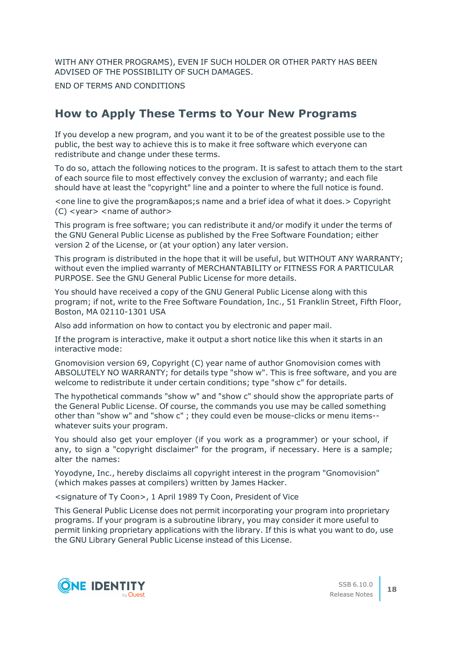WITH ANY OTHER PROGRAMS), EVEN IF SUCH HOLDER OR OTHER PARTY HAS BEEN ADVISED OF THE POSSIBILITY OF SUCH DAMAGES.

END OF TERMS AND CONDITIONS

## **How to Apply These Terms to Your New Programs**

If you develop a new program, and you want it to be of the greatest possible use to the public, the best way to achieve this is to make it free software which everyone can redistribute and change under these terms.

To do so, attach the following notices to the program. It is safest to attach them to the start of each source file to most effectively convey the exclusion of warranty; and each file should have at least the "copyright" line and a pointer to where the full notice is found.

<one line to give the program&apos; sname and a brief idea of what it does. > Copyright (C) <year> <name of author>

This program is free software; you can redistribute it and/or modify it under the terms of the GNU General Public License as published by the Free Software Foundation; either version 2 of the License, or (at your option) any later version.

This program is distributed in the hope that it will be useful, but WITHOUT ANY WARRANTY; without even the implied warranty of MERCHANTABILITY or FITNESS FOR A PARTICULAR PURPOSE. See the GNU General Public License for more details.

You should have received a copy of the GNU General Public License along with this program; if not, write to the Free Software Foundation, Inc., 51 Franklin Street, Fifth Floor, Boston, MA 02110-1301 USA

Also add information on how to contact you by electronic and paper mail.

If the program is interactive, make it output a short notice like this when it starts in an interactive mode:

Gnomovision version 69, Copyright (C) year name of author Gnomovision comes with ABSOLUTELY NO WARRANTY; for details type "show w". This is free software, and you are welcome to redistribute it under certain conditions; type "show c" for details.

The hypothetical commands "show w" and "show c" should show the appropriate parts of the General Public License. Of course, the commands you use may be called something other than "show w" and "show c" ; they could even be mouse-clicks or menu items- whatever suits your program.

You should also get your employer (if you work as a programmer) or your school, if any, to sign a "copyright disclaimer" for the program, if necessary. Here is a sample; alter the names:

Yoyodyne, Inc., hereby disclaims all copyright interest in the program "Gnomovision" (which makes passes at compilers) written by James Hacker.

<signature of Ty Coon>, 1 April 1989 Ty Coon, President of Vice

This General Public License does not permit incorporating your program into proprietary programs. If your program is a subroutine library, you may consider it more useful to permit linking proprietary applications with the library. If this is what you want to do, use the GNU Library General Public License instead of this License.

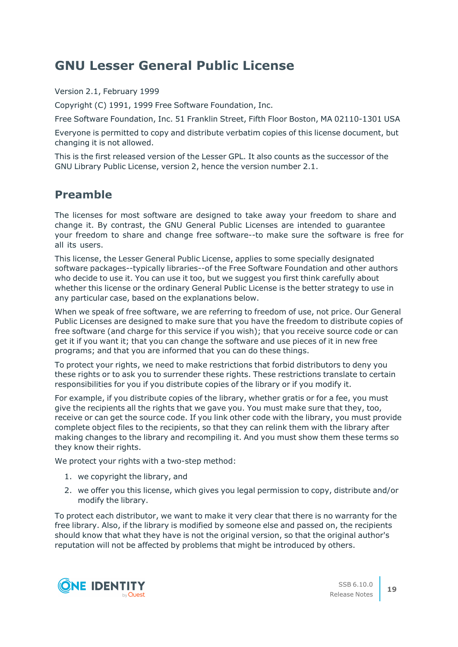## **GNU Lesser General Public License**

Version 2.1, February 1999

Copyright (C) 1991, 1999 Free Software Foundation, Inc.

Free Software Foundation, Inc. 51 Franklin Street, Fifth Floor Boston, MA 02110-1301 USA

Everyone is permitted to copy and distribute verbatim copies of this license document, but changing it is not allowed.

This is the first released version of the Lesser GPL. It also counts as the successor of the GNU Library Public License, version 2, hence the version number 2.1.

## **Preamble**

The licenses for most software are designed to take away your freedom to share and change it. By contrast, the GNU General Public Licenses are intended to guarantee your freedom to share and change free software--to make sure the software is free for all its users.

This license, the Lesser General Public License, applies to some specially designated software packages--typically libraries--of the Free Software Foundation and other authors who decide to use it. You can use it too, but we suggest you first think carefully about whether this license or the ordinary General Public License is the better strategy to use in any particular case, based on the explanations below.

When we speak of free software, we are referring to freedom of use, not price. Our General Public Licenses are designed to make sure that you have the freedom to distribute copies of free software (and charge for this service if you wish); that you receive source code or can get it if you want it; that you can change the software and use pieces of it in new free programs; and that you are informed that you can do these things.

To protect your rights, we need to make restrictions that forbid distributors to deny you these rights or to ask you to surrender these rights. These restrictions translate to certain responsibilities for you if you distribute copies of the library or if you modify it.

For example, if you distribute copies of the library, whether gratis or for a fee, you must give the recipients all the rights that we gave you. You must make sure that they, too, receive or can get the source code. If you link other code with the library, you must provide complete object files to the recipients, so that they can relink them with the library after making changes to the library and recompiling it. And you must show them these terms so they know their rights.

We protect your rights with a two-step method:

- 1. we copyright the library, and
- 2. we offer you this license, which gives you legal permission to copy, distribute and/or modify the library.

To protect each distributor, we want to make it very clear that there is no warranty for the free library. Also, if the library is modified by someone else and passed on, the recipients should know that what they have is not the original version, so that the original author's reputation will not be affected by problems that might be introduced by others.

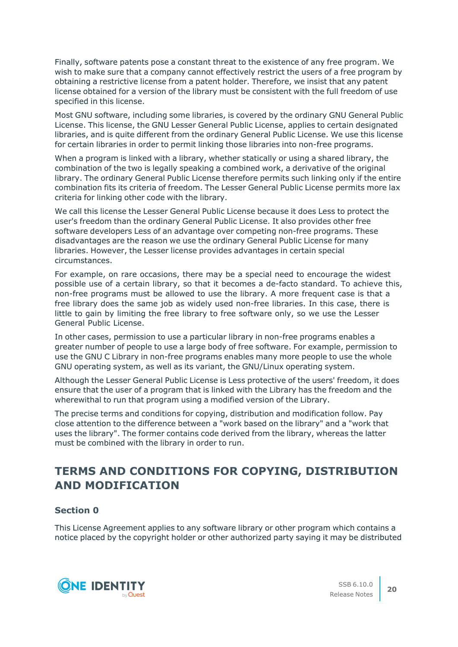Finally, software patents pose a constant threat to the existence of any free program. We wish to make sure that a company cannot effectively restrict the users of a free program by obtaining a restrictive license from a patent holder. Therefore, we insist that any patent license obtained for a version of the library must be consistent with the full freedom of use specified in this license.

Most GNU software, including some libraries, is covered by the ordinary GNU General Public License. This license, the GNU Lesser General Public License, applies to certain designated libraries, and is quite different from the ordinary General Public License. We use this license for certain libraries in order to permit linking those libraries into non-free programs.

When a program is linked with a library, whether statically or using a shared library, the combination of the two is legally speaking a combined work, a derivative of the original library. The ordinary General Public License therefore permits such linking only if the entire combination fits its criteria of freedom. The Lesser General Public License permits more lax criteria for linking other code with the library.

We call this license the Lesser General Public License because it does Less to protect the user's freedom than the ordinary General Public License. It also provides other free software developers Less of an advantage over competing non-free programs. These disadvantages are the reason we use the ordinary General Public License for many libraries. However, the Lesser license provides advantages in certain special circumstances.

For example, on rare occasions, there may be a special need to encourage the widest possible use of a certain library, so that it becomes a de-facto standard. To achieve this, non-free programs must be allowed to use the library. A more frequent case is that a free library does the same job as widely used non-free libraries. In this case, there is little to gain by limiting the free library to free software only, so we use the Lesser General Public License.

In other cases, permission to use a particular library in non-free programs enables a greater number of people to use a large body of free software. For example, permission to use the GNU C Library in non-free programs enables many more people to use the whole GNU operating system, as well as its variant, the GNU/Linux operating system.

Although the Lesser General Public License is Less protective of the users' freedom, it does ensure that the user of a program that is linked with the Library has the freedom and the wherewithal to run that program using a modified version of the Library.

The precise terms and conditions for copying, distribution and modification follow. Pay close attention to the difference between a "work based on the library" and a "work that uses the library". The former contains code derived from the library, whereas the latter must be combined with the library in order to run.

## **TERMS AND CONDITIONS FOR COPYING, DISTRIBUTION AND MODIFICATION**

## **Section 0**

This License Agreement applies to any software library or other program which contains a notice placed by the copyright holder or other authorized party saying it may be distributed

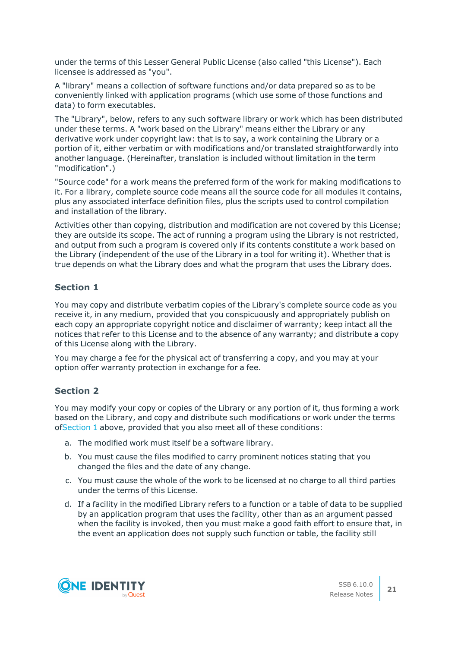under the terms of this Lesser General Public License (also called "this License"). Each licensee is addressed as "you".

A "library" means a collection of software functions and/or data prepared so as to be conveniently linked with application programs (which use some of those functions and data) to form executables.

The "Library", below, refers to any such software library or work which has been distributed under these terms. A "work based on the Library" means either the Library or any derivative work under copyright law: that is to say, a work containing the Library or a portion of it, either verbatim or with modifications and/or translated straightforwardly into another language. (Hereinafter, translation is included without limitation in the term "modification".)

"Source code" for a work means the preferred form of the work for making modifications to it. For a library, complete source code means all the source code for all modules it contains, plus any associated interface definition files, plus the scripts used to control compilation and installation of the library.

Activities other than copying, distribution and modification are not covered by this License; they are outside its scope. The act of running a program using the Library is not restricted, and output from such a program is covered only if its contents constitute a work based on the Library (independent of the use of the Library in a tool for writing it). Whether that is true depends on what the Library does and what the program that uses the Library does.

## <span id="page-20-0"></span>**Section 1**

You may copy and distribute verbatim copies of the Library's complete source code as you receive it, in any medium, provided that you conspicuously and appropriately publish on each copy an appropriate copyright notice and disclaimer of warranty; keep intact all the notices that refer to this License and to the absence of any warranty; and distribute a copy of this License along with the Library.

You may charge a fee for the physical act of transferring a copy, and you may at your option offer warranty protection in exchange for a fee.

## <span id="page-20-2"></span>**Section 2**

You may modify your copy or copies of the Library or any portion of it, thus forming a work based on the Library, and copy and distribute such modifications or work under the terms of[Section](#page-20-0) 1 above, provided that you also meet all of these conditions:

- a. The modified work must itself be a software library.
- b. You must cause the files modified to carry prominent notices stating that you changed the files and the date of any change.
- c. You must cause the whole of the work to be licensed at no charge to all third parties under the terms of this License.
- <span id="page-20-1"></span>d. If a facility in the modified Library refers to a function or a table of data to be supplied by an application program that uses the facility, other than as an argument passed when the facility is invoked, then you must make a good faith effort to ensure that, in the event an application does not supply such function or table, the facility still

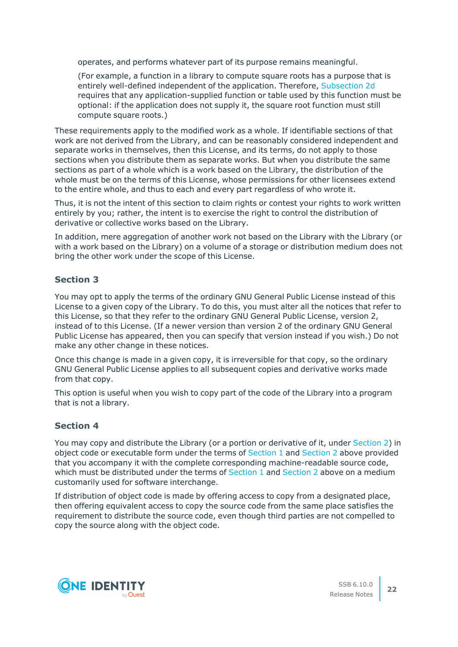operates, and performs whatever part of its purpose remains meaningful.

(For example, a function in a library to compute square roots has a purpose that is entirely well-defined independent of the application. Therefore, [Subsection](#page-20-1) 2d requires that any application-supplied function or table used by this function must be optional: if the application does not supply it, the square root function must still compute square roots.)

These requirements apply to the modified work as a whole. If identifiable sections of that work are not derived from the Library, and can be reasonably considered independent and separate works in themselves, then this License, and its terms, do not apply to those sections when you distribute them as separate works. But when you distribute the same sections as part of a whole which is a work based on the Library, the distribution of the whole must be on the terms of this License, whose permissions for other licensees extend to the entire whole, and thus to each and every part regardless of who wrote it.

Thus, it is not the intent of this section to claim rights or contest your rights to work written entirely by you; rather, the intent is to exercise the right to control the distribution of derivative or collective works based on the Library.

In addition, mere aggregation of another work not based on the Library with the Library (or with a work based on the Library) on a volume of a storage or distribution medium does not bring the other work under the scope of this License.

## **Section 3**

You may opt to apply the terms of the ordinary GNU General Public License instead of this License to a given copy of the Library. To do this, you must alter all the notices that refer to this License, so that they refer to the ordinary GNU General Public License, version 2, instead of to this License. (If a newer version than version 2 of the ordinary GNU General Public License has appeared, then you can specify that version instead if you wish.) Do not make any other change in these notices.

Once this change is made in a given copy, it is irreversible for that copy, so the ordinary GNU General Public License applies to all subsequent copies and derivative works made from that copy.

This option is useful when you wish to copy part of the code of the Library into a program that is not a library.

## **Section 4**

You may copy and distribute the Library (or a portion or derivative of it, under [Section](#page-20-2) 2) in object code or executable form under the terms of [Section](#page-20-0) 1 and [Section](#page-20-2) 2 above provided that you accompany it with the complete corresponding machine-readable source code, which must be distributed under the terms of [Section](#page-20-2) 1 and Section 2 above on a medium customarily used for software interchange.

If distribution of object code is made by offering access to copy from a designated place, then offering equivalent access to copy the source code from the same place satisfies the requirement to distribute the source code, even though third parties are not compelled to copy the source along with the object code.

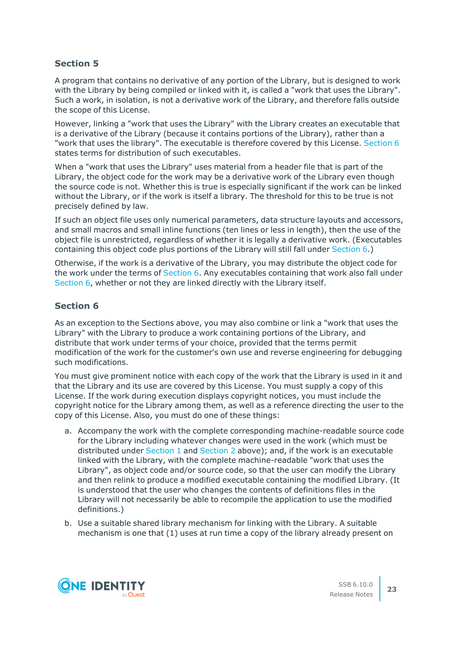A program that contains no derivative of any portion of the Library, but is designed to work with the Library by being compiled or linked with it, is called a "work that uses the Library". Such a work, in isolation, is not a derivative work of the Library, and therefore falls outside the scope of this License.

However, linking a "work that uses the Library" with the Library creates an executable that is a derivative of the Library (because it contains portions of the Library), rather than a "work that uses the library". The executable is therefore covered by this License. [Section](#page-22-0) 6 states terms for distribution of such executables.

When a "work that uses the Library" uses material from a header file that is part of the Library, the object code for the work may be a derivative work of the Library even though the source code is not. Whether this is true is especially significant if the work can be linked without the Library, or if the work is itself a library. The threshold for this to be true is not precisely defined by law.

If such an object file uses only numerical parameters, data structure layouts and accessors, and small macros and small inline functions (ten lines or less in length), then the use of the object file is unrestricted, regardless of whether it is legally a derivative work. (Executables containing this object code plus portions of the Library will still fall under [Section](#page-22-0) 6.)

Otherwise, if the work is a derivative of the Library, you may distribute the object code for the work under the terms of [Section](#page-22-0) 6. Any executables containing that work also fall under [Section](#page-22-0) 6, whether or not they are linked directly with the Library itself.

## <span id="page-22-0"></span>**Section 6**

As an exception to the Sections above, you may also combine or link a "work that uses the Library" with the Library to produce a work containing portions of the Library, and distribute that work under terms of your choice, provided that the terms permit modification of the work for the customer's own use and reverse engineering for debugging such modifications.

You must give prominent notice with each copy of the work that the Library is used in it and that the Library and its use are covered by this License. You must supply a copy of this License. If the work during execution displays copyright notices, you must include the copyright notice for the Library among them, as well as a reference directing the user to the copy of this License. Also, you must do one of these things:

- <span id="page-22-1"></span>a. Accompany the work with the complete corresponding machine-readable source code for the Library including whatever changes were used in the work (which must be distributed under [Section](#page-20-0) 1 and [Section](#page-20-2) 2 above); and, if the work is an executable linked with the Library, with the complete machine-readable "work that uses the Library", as object code and/or source code, so that the user can modify the Library and then relink to produce a modified executable containing the modified Library. (It is understood that the user who changes the contents of definitions files in the Library will not necessarily be able to recompile the application to use the modified definitions.)
- b. Use a suitable shared library mechanism for linking with the Library. A suitable mechanism is one that (1) uses at run time a copy of the library already present on

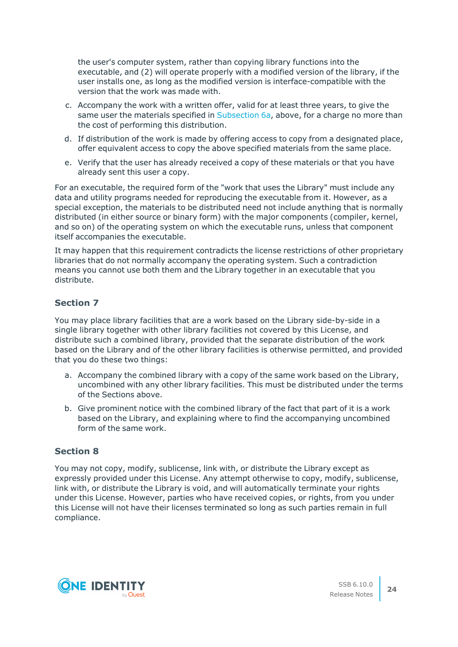the user's computer system, rather than copying library functions into the executable, and (2) will operate properly with a modified version of the library, if the user installs one, as long as the modified version is interface-compatible with the version that the work was made with.

- c. Accompany the work with a written offer, valid for at least three years, to give the same user the materials specified in [Subsection](#page-22-1) 6a, above, for a charge no more than the cost of performing this distribution.
- d. If distribution of the work is made by offering access to copy from a designated place, offer equivalent access to copy the above specified materials from the same place.
- e. Verify that the user has already received a copy of these materials or that you have already sent this user a copy.

For an executable, the required form of the "work that uses the Library" must include any data and utility programs needed for reproducing the executable from it. However, as a special exception, the materials to be distributed need not include anything that is normally distributed (in either source or binary form) with the major components (compiler, kernel, and so on) of the operating system on which the executable runs, unless that component itself accompanies the executable.

It may happen that this requirement contradicts the license restrictions of other proprietary libraries that do not normally accompany the operating system. Such a contradiction means you cannot use both them and the Library together in an executable that you distribute.

## **Section 7**

You may place library facilities that are a work based on the Library side-by-side in a single library together with other library facilities not covered by this License, and distribute such a combined library, provided that the separate distribution of the work based on the Library and of the other library facilities is otherwise permitted, and provided that you do these two things:

- a. Accompany the combined library with a copy of the same work based on the Library, uncombined with any other library facilities. This must be distributed under the terms of the Sections above.
- b. Give prominent notice with the combined library of the fact that part of it is a work based on the Library, and explaining where to find the accompanying uncombined form of the same work.

## **Section 8**

You may not copy, modify, sublicense, link with, or distribute the Library except as expressly provided under this License. Any attempt otherwise to copy, modify, sublicense, link with, or distribute the Library is void, and will automatically terminate your rights under this License. However, parties who have received copies, or rights, from you under this License will not have their licenses terminated so long as such parties remain in full compliance.

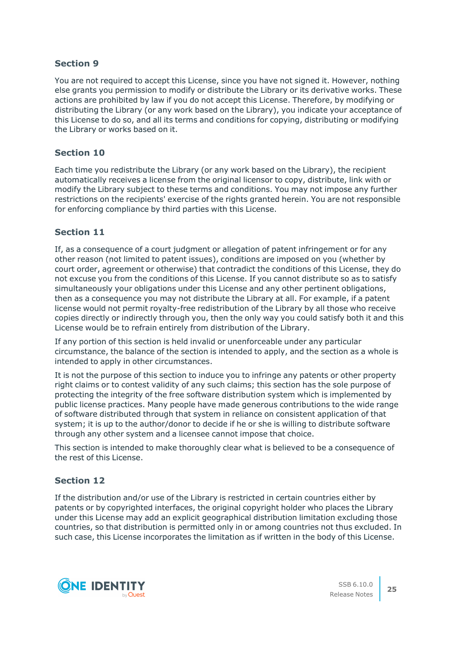You are not required to accept this License, since you have not signed it. However, nothing else grants you permission to modify or distribute the Library or its derivative works. These actions are prohibited by law if you do not accept this License. Therefore, by modifying or distributing the Library (or any work based on the Library), you indicate your acceptance of this License to do so, and all its terms and conditions for copying, distributing or modifying the Library or works based on it.

## **Section 10**

Each time you redistribute the Library (or any work based on the Library), the recipient automatically receives a license from the original licensor to copy, distribute, link with or modify the Library subject to these terms and conditions. You may not impose any further restrictions on the recipients' exercise of the rights granted herein. You are not responsible for enforcing compliance by third parties with this License.

## **Section 11**

If, as a consequence of a court judgment or allegation of patent infringement or for any other reason (not limited to patent issues), conditions are imposed on you (whether by court order, agreement or otherwise) that contradict the conditions of this License, they do not excuse you from the conditions of this License. If you cannot distribute so as to satisfy simultaneously your obligations under this License and any other pertinent obligations, then as a consequence you may not distribute the Library at all. For example, if a patent license would not permit royalty-free redistribution of the Library by all those who receive copies directly or indirectly through you, then the only way you could satisfy both it and this License would be to refrain entirely from distribution of the Library.

If any portion of this section is held invalid or unenforceable under any particular circumstance, the balance of the section is intended to apply, and the section as a whole is intended to apply in other circumstances.

It is not the purpose of this section to induce you to infringe any patents or other property right claims or to contest validity of any such claims; this section has the sole purpose of protecting the integrity of the free software distribution system which is implemented by public license practices. Many people have made generous contributions to the wide range of software distributed through that system in reliance on consistent application of that system; it is up to the author/donor to decide if he or she is willing to distribute software through any other system and a licensee cannot impose that choice.

This section is intended to make thoroughly clear what is believed to be a consequence of the rest of this License.

## **Section 12**

If the distribution and/or use of the Library is restricted in certain countries either by patents or by copyrighted interfaces, the original copyright holder who places the Library under this License may add an explicit geographical distribution limitation excluding those countries, so that distribution is permitted only in or among countries not thus excluded. In such case, this License incorporates the limitation as if written in the body of this License.

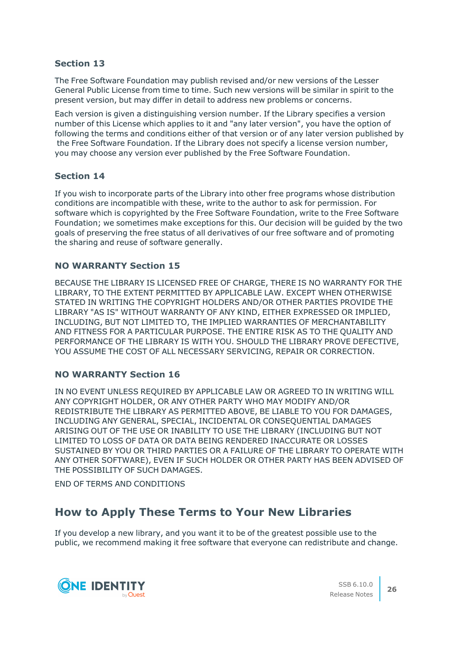The Free Software Foundation may publish revised and/or new versions of the Lesser General Public License from time to time. Such new versions will be similar in spirit to the present version, but may differ in detail to address new problems or concerns.

Each version is given a distinguishing version number. If the Library specifies a version number of this License which applies to it and "any later version", you have the option of following the terms and conditions either of that version or of any later version published by the Free Software Foundation. If the Library does not specify a license version number, you may choose any version ever published by the Free Software Foundation.

## **Section 14**

If you wish to incorporate parts of the Library into other free programs whose distribution conditions are incompatible with these, write to the author to ask for permission. For software which is copyrighted by the Free Software Foundation, write to the Free Software Foundation; we sometimes make exceptions for this. Our decision will be guided by the two goals of preserving the free status of all derivatives of our free software and of promoting the sharing and reuse of software generally.

## **NO WARRANTY Section 15**

BECAUSE THE LIBRARY IS LICENSED FREE OF CHARGE, THERE IS NO WARRANTY FOR THE LIBRARY, TO THE EXTENT PERMITTED BY APPLICABLE LAW. EXCEPT WHEN OTHERWISE STATED IN WRITING THE COPYRIGHT HOLDERS AND/OR OTHER PARTIES PROVIDE THE LIBRARY "AS IS" WITHOUT WARRANTY OF ANY KIND, EITHER EXPRESSED OR IMPLIED, INCLUDING, BUT NOT LIMITED TO, THE IMPLIED WARRANTIES OF MERCHANTABILITY AND FITNESS FOR A PARTICULAR PURPOSE. THE ENTIRE RISK AS TO THE QUALITY AND PERFORMANCE OF THE LIBRARY IS WITH YOU. SHOULD THE LIBRARY PROVE DEFECTIVE, YOU ASSUME THE COST OF ALL NECESSARY SERVICING, REPAIR OR CORRECTION.

## **NO WARRANTY Section 16**

IN NO EVENT UNLESS REQUIRED BY APPLICABLE LAW OR AGREED TO IN WRITING WILL ANY COPYRIGHT HOLDER, OR ANY OTHER PARTY WHO MAY MODIFY AND/OR REDISTRIBUTE THE LIBRARY AS PERMITTED ABOVE, BE LIABLE TO YOU FOR DAMAGES, INCLUDING ANY GENERAL, SPECIAL, INCIDENTAL OR CONSEQUENTIAL DAMAGES ARISING OUT OF THE USE OR INABILITY TO USE THE LIBRARY (INCLUDING BUT NOT LIMITED TO LOSS OF DATA OR DATA BEING RENDERED INACCURATE OR LOSSES SUSTAINED BY YOU OR THIRD PARTIES OR A FAILURE OF THE LIBRARY TO OPERATE WITH ANY OTHER SOFTWARE), EVEN IF SUCH HOLDER OR OTHER PARTY HAS BEEN ADVISED OF THE POSSIBILITY OF SUCH DAMAGES.

END OF TERMS AND CONDITIONS

## **How to Apply These Terms to Your New Libraries**

If you develop a new library, and you want it to be of the greatest possible use to the public, we recommend making it free software that everyone can redistribute and change.

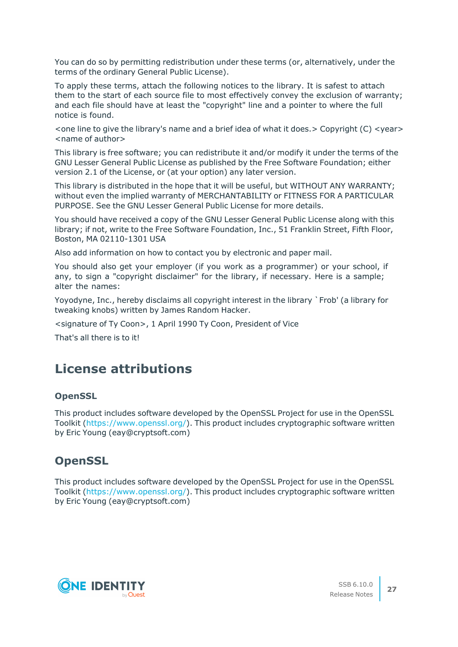You can do so by permitting redistribution under these terms (or, alternatively, under the terms of the ordinary General Public License).

To apply these terms, attach the following notices to the library. It is safest to attach them to the start of each source file to most effectively convey the exclusion of warranty; and each file should have at least the "copyright" line and a pointer to where the full notice is found.

 $\le$  one line to give the library's name and a brief idea of what it does.  $>$  Copyright (C)  $\le$  year $>$ <name of author>

This library is free software; you can redistribute it and/or modify it under the terms of the GNU Lesser General Public License as published by the Free Software Foundation; either version 2.1 of the License, or (at your option) any later version.

This library is distributed in the hope that it will be useful, but WITHOUT ANY WARRANTY; without even the implied warranty of MERCHANTABILITY or FITNESS FOR A PARTICULAR PURPOSE. See the GNU Lesser General Public License for more details.

You should have received a copy of the GNU Lesser General Public License along with this library; if not, write to the Free Software Foundation, Inc., 51 Franklin Street, Fifth Floor, Boston, MA 02110-1301 USA

Also add information on how to contact you by electronic and paper mail.

You should also get your employer (if you work as a programmer) or your school, if any, to sign a "copyright disclaimer" for the library, if necessary. Here is a sample; alter the names:

Yoyodyne, Inc., hereby disclaims all copyright interest in the library `Frob' (a library for tweaking knobs) written by James Random Hacker.

<signature of Ty Coon>, 1 April 1990 Ty Coon, President of Vice

That's all there is to it!

## **License attributions**

#### **OpenSSL**

This product includes software developed by the OpenSSL Project for use in the OpenSSL Toolkit [\(https://www.openssl.org/](https://www.openssl.org/)). This product includes cryptographic software written by Eric Young (eay@cryptsoft.com)

## **OpenSSL**

This product includes software developed by the OpenSSL Project for use in the OpenSSL Toolkit [\(https://www.openssl.org/](https://www.openssl.org/)). This product includes cryptographic software written by Eric Young (eay@cryptsoft.com)